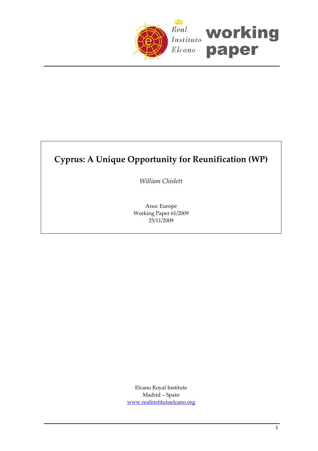

# **Cyprus: A Unique Opportunity for Reunification (WP)**

*William Chislett*

Area: Europe Working Paper 61/2009 25/11/2009

Elcano Royal Institute Madrid – Spain [www.realinstitutoelcano.org](http://www.realinstitutoelcano.org/)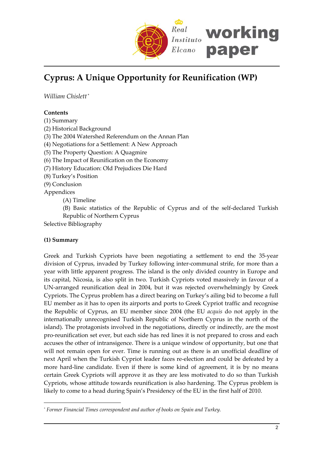

# **Cyprus: A Unique Opportunity for Reunification (WP)**

*William Chislett* [\\*](#page-1-0)

# **Contents**

(1) Summary

(2) Historical Background

(3) The 2004 Watershed Referendum on the Annan Plan

(4) Negotiations for a Settlement: A New Approach

- (5) The Property Question: A Quagmire
- (6) The Impact of Reunification on the Economy
- (7) History Education: Old Prejudices Die Hard
- (8) Turkey's Position
- (9) Conclusion

Appendices

(A) Timeline

(B) Basic statistics of the Republic of Cyprus and of the self‐declared Turkish Republic of Northern Cyprus

Selective Bibliography

### **(1) Summary**

 $\overline{a}$ 

Greek and Turkish Cypriots have been negotiating a settlement to end the 35‐year division of Cyprus, invaded by Turkey following inter‐communal strife, for more than a year with little apparent progress. The island is the only divided country in Europe and its capital, Nicosia, is also split in two. Turkish Cypriots voted massively in favour of a UN‐arranged reunification deal in 2004, but it was rejected overwhelmingly by Greek Cypriots. The Cyprus problem has a direct bearing on Turkey's ailing bid to become a full EU member as it has to open its airports and ports to Greek Cypriot traffic and recognise the Republic of Cyprus, an EU member since 2004 (the EU *acquis* do not apply in the internationally unrecognised Turkish Republic of Northern Cyprus in the north of the island). The protagonists involved in the negotiations, directly or indirectly, are the most pro‐reunification set ever, but each side has red lines it is not prepared to cross and each accuses the other of intransigence. There is a unique window of opportunity, but one that will not remain open for ever. Time is running out as there is an unofficial deadline of next April when the Turkish Cypriot leader faces re-election and could be defeated by a more hard-line candidate. Even if there is some kind of agreement, it is by no means certain Greek Cypriots will approve it as they are less motivated to do so than Turkish Cypriots, whose attitude towards reunification is also hardening. The Cyprus problem is likely to come to a head during Spain's Presidency of the EU in the first half of 2010.

<span id="page-1-0"></span>*<sup>\*</sup> Former Financial Times correspondent and author of books on Spain and Turkey.*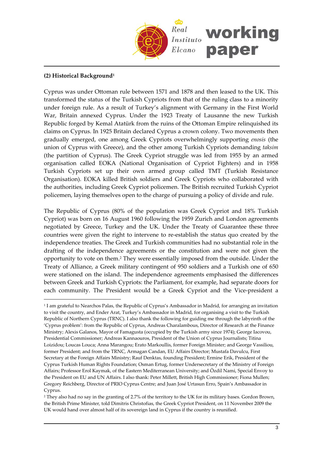

#### **(2) Historical Background[1](#page-2-0)**

 $\overline{a}$ 

Cyprus was under Ottoman rule between 1571 and 1878 and then leased to the UK. This transformed the status of the Turkish Cypriots from that of the ruling class to a minority under foreign rule. As a result of Turkey's alignment with Germany in the First World War, Britain annexed Cyprus. Under the 1923 Treaty of Lausanne the new Turkish Republic forged by Kemal Atatürk from the ruins of the Ottoman Empire relinquished its claims on Cyprus. In 1925 Britain declared Cyprus a crown colony. Two movements then gradually emerged, one among Greek Cypriots overwhelmingly supporting *enosis* (the union of Cyprus with Greece), and the other among Turkish Cypriots demanding *taksim* (the partition of Cyprus). The Greek Cypriot struggle was led from 1955 by an armed organisation called EOKA (National Organisation of Cypriot Fighters) and in 1958 Turkish Cypriots set up their own armed group called TMT (Turkish Resistance Organisation). EOKA killed British soldiers and Greek Cypriots who collaborated with the authorities, including Greek Cypriot policemen. The British recruited Turkish Cypriot policemen, laying themselves open to the charge of pursuing a policy of divide and rule.

The Republic of Cyprus (80% of the population was Greek Cypriot and 18% Turkish Cypriot) was born on 16 August 1960 following the 1959 Zurich and London agreements negotiated by Greece, Turkey and the UK. Under the Treaty of Guarantee these three countries were given the right to intervene to re‐establish the status quo created by the independence treaties. The Greek and Turkish communities had no substantial role in the drafting of the independence agreements or the constitution and were not given the opportunity to vote on them[.2](#page-2-1) They were essentially imposed from the outside. Under the Treaty of Alliance, a Greek military contingent of 950 soldiers and a Turkish one of 650 were stationed on the island. The independence agreements emphasised the differences between Greek and Turkish Cypriots: the Parliament, for example, had separate doors for each community. The President would be a Greek Cypriot and the Vice-president a

<span id="page-2-0"></span><sup>1</sup> I am grateful to Nearchos Palas, the Republic of Cyprus's Ambassador in Madrid, for arranging an invitation to visit the country, and Ender Arat, Turkey's Ambassador in Madrid, for organising a visit to the Turkish Republic of Northern Cyprus (TRNC). I also thank the following for guiding me through the labyrinth of the 'Cyprus problem': from the Republic of Cyprus, Andreas Charalambous, Director of Research at the Finance Ministry; Alexis Galanos, Mayor of Famagusta (occupied by the Turkish army since 1974); George Iacovou, Presidential Commissioner; Andreas Kannaouros, President of the Union of Cyprus Journalists; Titina Loizidou; Loucas Louca; Anna Marangou; Erato Markoullis, former Foreign Minister; and George Vassiliou, former President; and from the TRNC, Armagan Candan, EU Affairs Director; Mustafa Davulcu, First Secretary at the Foreign Affairs Ministry; Rauf Denktas, founding President; Ermine Erik, President of the Cyprus Turkish Human Rights Foundation; Osman Ertug, former Undersecretary of the Ministry of Foreign Affairs; Professor Erol Kaymak, of the Eastern Mediterranean University; and Özdil Nami, Special Envoy to the President on EU and UN Affairs. I also thank: Peter Millett, British High Commissioner; Fiona Mullen; Gregory Reichberg, Director of PRIO Cyprus Centre; and Juan José Urtasun Erro, Spain's Ambassador in Cyprus.

<span id="page-2-1"></span><sup>2</sup> They also had no say in the granting of 2.7% of the territory to the UK for its military bases. Gordon Brown, the British Prime Minister, told Dimitris Christofias, the Greek Cypriot President, on 11 November 2009 the UK would hand over almost half of its sovereign land in Cyprus if the country is reunified.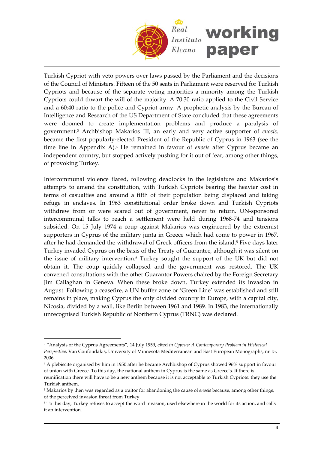

Turkish Cypriot with veto powers over laws passed by the Parliament and the decisions of the Council of Ministers. Fifteen of the 50 seats in Parliament were reserved for Turkish Cypriots and because of the separate voting majorities a minority among the Turkish Cypriots could thwart the will of the majority. A 70:30 ratio applied to the Civil Service and a 60:40 ratio to the police and Cypriot army. A prophetic analysis by the Bureau of Intelligence and Research of the US Department of State concluded that these agreements were doomed to create implementation problems and produce a paralysis of government.[3](#page-3-0) Archbishop Makarios III, an early and very active supporter of *enosis,* became the first popularly‐elected President of the Republic of Cyprus in 1963 (see the time line in Appendix A).[4](#page-3-1) He remained in favour of *enosis* after Cyprus became an independent country, but stopped actively pushing for it out of fear, among other things, of provoking Turkey.

Intercommunal violence flared, following deadlocks in the legislature and Makarios's attempts to amend the constitution, with Turkish Cypriots bearing the heavier cost in terms of casualties and around a fifth of their population being displaced and taking refuge in enclaves. In 1963 constitutional order broke down and Turkish Cypriots withdrew from or were scared out of government, never to return. UN-sponsored intercommunal talks to reach a settlement were held during 1968‐74 and tensions subsided. On 15 July 1974 a coup against Makarios was engineered by the extremist supporters in Cyprus of the military junta in Greece which had come to power in 1967, after he had demanded the withdrawal of Greek officers from the island.<sup>[5](#page-3-2)</sup> Five days later Turkey invaded Cyprus on the basis of the Treaty of Guarantee, although it was silent on the issue of military intervention.[6](#page-3-3) Turkey sought the support of the UK but did not obtain it. The coup quickly collapsed and the government was restored. The UK convened consultations with the other Guarantor Powers chaired by the Foreign Secretary Jim Callaghan in Geneva. When these broke down, Turkey extended its invasion in August. Following a ceasefire, a UN buffer zone or 'Green Line' was established and still remains in place, making Cyprus the only divided country in Europe, with a capital city, Nicosia, divided by a wall, like Berlin between 1961 and 1989. In 1983, the internationally unrecognised Turkish Republic of Northern Cyprus (TRNC) was declared.

<span id="page-3-0"></span><sup>3</sup> "Analysis of the Cyprus Agreements", 14 July 1959, cited *in Cyprus: A Contemporary Problem in Historical Perspective*, Van Coufoudakis, University of Minnesota Mediterranean and East European Monographs, nr 15, 2006.

<span id="page-3-1"></span><sup>4</sup> A plebiscite organised by him in 1950 after he became Archbishop of Cyprus showed 96% support in favour of union with Greece. To this day, the national anthem in Cyprus is the same as Greece's. If there is reunification there will have to be a new anthem because it is not acceptable to Turkish Cypriots: they use the Turkish anthem.

<span id="page-3-2"></span><sup>5</sup> Makarios by then was regarded as a traitor for abandoning the cause of *enosis* because, among other things, of the perceived invasion threat from Turkey*.*

<span id="page-3-3"></span><sup>6</sup> To this day, Turkey refuses to accept the word invasion, used elsewhere in the world for its action, and calls it an intervention.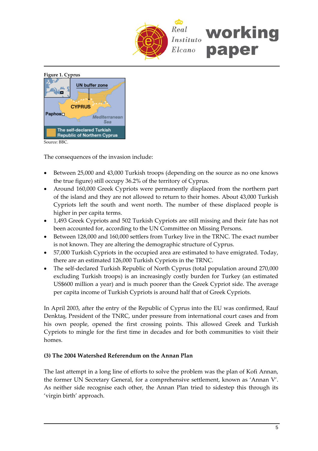



Source: BBC.

The consequences of the invasion include:

- Between 25,000 and 43,000 Turkish troops (depending on the source as no one knows the true figure) still occupy 36.2% of the territory of Cyprus.
- Around 160,000 Greek Cypriots were permanently displaced from the northern part of the island and they are not allowed to return to their homes. About 43,000 Turkish Cypriots left the south and went north. The number of these displaced people is higher in per capita terms.
- 1,493 Greek Cypriots and 502 Turkish Cypriots are still missing and their fate has not been accounted for, according to the UN Committee on Missing Persons.
- Between 128,000 and 160,000 settlers from Turkey live in the TRNC. The exact number is not known. They are altering the demographic structure of Cyprus.
- 57,000 Turkish Cypriots in the occupied area are estimated to have emigrated. Today, there are an estimated 126,000 Turkish Cypriots in the TRNC.
- The self-declared Turkish Republic of North Cyprus (total population around 270,000 excluding Turkish troops) is an increasingly costly burden for Turkey (an estimated US\$600 million a year) and is much poorer than the Greek Cypriot side. The average per capita income of Turkish Cypriots is around half that of Greek Cypriots.

In April 2003, after the entry of the Republic of Cyprus into the EU was confirmed, Rauf Denktaş, President of the TNRC, under pressure from international court cases and from his own people, opened the first crossing points. This allowed Greek and Turkish Cypriots to mingle for the first time in decades and for both communities to visit their homes.

#### **(3) The 2004 Watershed Referendum on the Annan Plan**

The last attempt in a long line of efforts to solve the problem was the plan of Kofi Annan, the former UN Secretary General, for a comprehensive settlement, known as 'Annan V'. As neither side recognise each other, the Annan Plan tried to sidestep this through its 'virgin birth' approach.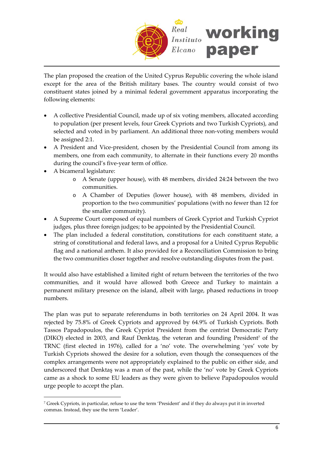

The plan proposed the creation of the United Cyprus Republic covering the whole island except for the area of the British military bases. The country would consist of two constituent states joined by a minimal federal government apparatus incorporating the following elements:

- A collective Presidential Council, made up of six voting members, allocated according to population (per present levels, four Greek Cypriots and two Turkish Cypriots), and selected and voted in by parliament. An additional three non-voting members would be assigned 2:1.
- A President and Vice-president, chosen by the Presidential Council from among its members, one from each community, to alternate in their functions every 20 months during the council's five‐year term of office.
- A bicameral legislature:

 $\overline{a}$ 

- o A Senate (upper house), with 48 members, divided 24:24 between the two communities.
- o A Chamber of Deputies (lower house), with 48 members, divided in proportion to the two communities' populations (with no fewer than 12 for the smaller community).
- A Supreme Court composed of equal numbers of Greek Cypriot and Turkish Cypriot judges, plus three foreign judges; to be appointed by the Presidential Council.
- The plan included a federal constitution, constitutions for each constituent state, a string of constitutional and federal laws, and a proposal for a United Cyprus Republic flag and a national anthem. It also provided for a Reconciliation Commission to bring the two communities closer together and resolve outstanding disputes from the past.

It would also have established a limited right of return between the territories of the two communities, and it would have allowed both Greece and Turkey to maintain a permanent military presence on the island, albeit with large, phased reductions in troop numbers.

The plan was put to separate referendums in both territories on 24 April 2004. It was rejected by 75.8% of Greek Cypriots and approved by 64.9% of Turkish Cypriots. Both Tassos Papadopoulos, the Greek Cypriot President from the centrist Democratic Party (DIKO) elected in 2003, and Rauf Denktaş, the veteran and founding President<sup>[7](#page-5-0)</sup> of the TRNC (first elected in 1976), called for a 'no' vote. The overwhelming 'yes' vote by Turkish Cypriots showed the desire for a solution, even though the consequences of the complex arrangements were not appropriately explained to the public on either side, and underscored that Denktaş was a man of the past, while the 'no' vote by Greek Cypriots came as a shock to some EU leaders as they were given to believe Papadopoulos would urge people to accept the plan.

<span id="page-5-0"></span><sup>7</sup> Greek Cypriots, in particular, refuse to use the term 'President' and if they do always put it in inverted commas. Instead, they use the term 'Leader'.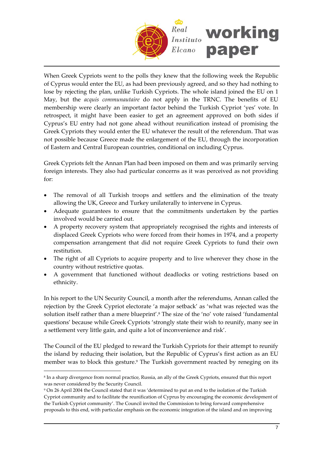

When Greek Cypriots went to the polls they knew that the following week the Republic of Cyprus would enter the EU, as had been previously agreed, and so they had nothing to lose by rejecting the plan, unlike Turkish Cypriots. The whole island joined the EU on 1 May, but the *acquis communautaire* do not apply in the TRNC. The benefits of EU membership were clearly an important factor behind the Turkish Cypriot 'yes' vote. In retrospect, it might have been easier to get an agreement approved on both sides if Cyprus's EU entry had not gone ahead without reunification instead of promising the Greek Cypriots they would enter the EU whatever the result of the referendum. That was not possible because Greece made the enlargement of the EU, through the incorporation of Eastern and Central European countries, conditional on including Cyprus.

Greek Cypriots felt the Annan Plan had been imposed on them and was primarily serving foreign interests. They also had particular concerns as it was perceived as not providing for:

- The removal of all Turkish troops and settlers and the elimination of the treaty allowing the UK, Greece and Turkey unilaterally to intervene in Cyprus.
- Adequate guarantees to ensure that the commitments undertaken by the parties involved would be carried out.
- A property recovery system that appropriately recognised the rights and interests of displaced Greek Cypriots who were forced from their homes in 1974, and a property compensation arrangement that did not require Greek Cypriots to fund their own restitution.
- The right of all Cypriots to acquire property and to live wherever they chose in the country without restrictive quotas.
- A government that functioned without deadlocks or voting restrictions based on ethnicity.

In his report to the UN Security Council, a month after the referendums, Annan called the rejection by the Greek Cypriot electorate 'a major setback' as 'what was rejected was the solution itself rather than a mere blueprint'.[8](#page-6-0) The size of the 'no' vote raised 'fundamental questions' because while Greek Cypriots 'strongly state their wish to reunify, many see in a settlement very little gain, and quite a lot of inconvenience and risk'.

The Council of the EU pledged to reward the Turkish Cypriots for their attempt to reunify the island by reducing their isolation, but the Republic of Cyprus's first action as an EU member was to block this gesture.<sup>[9](#page-6-1)</sup> The Turkish government reacted by reneging on its

<span id="page-6-0"></span><sup>8</sup> In a sharp divergence from normal practice, Russia, an ally of the Greek Cypriots, ensured that this report was never considered by the Security Council.

<span id="page-6-1"></span><sup>9</sup> On 26 April 2004 the Council stated that it was 'determined to put an end to the isolation of the Turkish Cypriot community and to facilitate the reunification of Cyprus by encouraging the economic development of the Turkish Cypriot community'. The Council invited the Commission to bring forward comprehensive proposals to this end, with particular emphasis on the economic integration of the island and on improving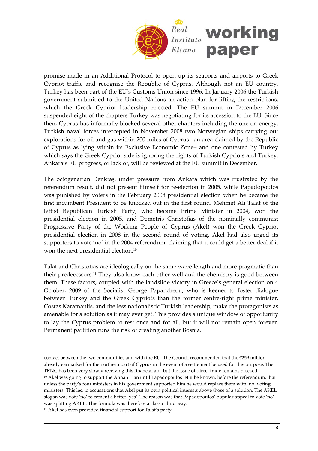

promise made in an Additional Protocol to open up its seaports and airports to Greek Cypriot traffic and recognise the Republic of Cyprus. Although not an EU country, Turkey has been part of the EU's Customs Union since 1996. In January 2006 the Turkish government submitted to the United Nations an action plan for lifting the restrictions, which the Greek Cypriot leadership rejected. The EU summit in December 2006 suspended eight of the chapters Turkey was negotiating for its accession to the EU. Since then, Cyprus has informally blocked several other chapters including the one on energy. Turkish naval forces intercepted in November 2008 two Norwegian ships carrying out explorations for oil and gas within 200 miles of Cyprus –an area claimed by the Republic of Cyprus as lying within its Exclusive Economic Zone– and one contested by Turkey which says the Greek Cypriot side is ignoring the rights of Turkish Cypriots and Turkey. Ankara's EU progress, or lack of, will be reviewed at the EU summit in December.

The octogenarian Denktaş, under pressure from Ankara which was frustrated by the referendum result, did not present himself for re-election in 2005, while Papadopoulos was punished by voters in the February 2008 presidential election when he became the first incumbent President to be knocked out in the first round. Mehmet Ali Talat of the leftist Republican Turkish Party, who became Prime Minister in 2004, won the presidential election in 2005, and Demetris Christofias of the nominally communist Progressive Party of the Working People of Cyprus (Akel) won the Greek Cypriot presidential election in 2008 in the second round of voting. Akel had also urged its supporters to vote 'no' in the 2004 referendum, claiming that it could get a better deal if it won the next presidential election.[10](#page-7-0)

Talat and Christofias are ideologically on the same wave length and more pragmatic than their predecessors.[11](#page-7-1) They also know each other well and the chemistry is good between them. These factors, coupled with the landslide victory in Greece's general election on 4 October, 2009 of the Socialist George Papandreou, who is keener to foster dialogue between Turkey and the Greek Cypriots than the former centre‐right prime minister, Costas Karamanlis, and the less nationalistic Turkish leadership, make the protagonists as amenable for a solution as it may ever get. This provides a unique window of opportunity to lay the Cyprus problem to rest once and for all, but it will not remain open forever. Permanent partition runs the risk of creating another Bosnia.

<span id="page-7-1"></span><span id="page-7-0"></span> $\overline{a}$ contact between the two communities and with the EU. The Council recommended that the  $E259$  million already earmarked for the northern part of Cyprus in the event of a settlement be used for this purpose. The TRNC has been very slowly receiving this financial aid, but the issue of direct trade remains blocked. <sup>10</sup> Akel was going to support the Annan Plan until Papadopoulos let it be known, before the referendum, that unless the party's four ministers in his government supported him he would replace them with 'no' voting ministers. This led to accusations that Akel put its own political interests above those of a solution. The AKEL slogan was vote 'no' to cement a better 'yes'. The reason was that Papadopoulos' popular appeal to vote 'no' was splitting AKEL. This formula was therefore a classic third way. <sup>11</sup> Akel has even provided financial support for Talat's party.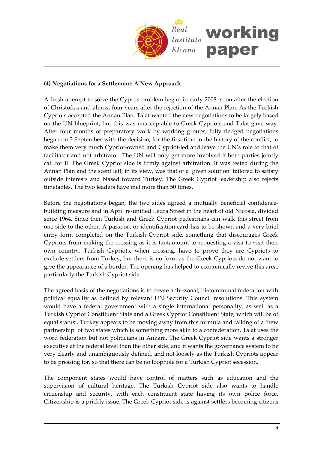

# **(4) Negotiations for a Settlement: A New Approach**

A fresh attempt to solve the Cyprus problem began in early 2008, soon after the election of Christofias and almost four years after the rejection of the Annan Plan. As the Turkish Cypriots accepted the Annan Plan, Talat wanted the new negotiations to be largely based on the UN blueprint, but this was unacceptable to Greek Cypriots and Talat gave way. After four months of preparatory work by working groups, fully fledged negotiations began on 3 September with the decision, for the first time in the history of the conflict, to make them very much Cypriot‐owned and Cypriot‐led and leave the UN's role to that of facilitator and not arbitrator. The UN will only get more involved if both parties jointly call for it. The Greek Cypriot side is firmly against arbitration. It was tested during the Annan Plan and the scent left, in its view, was that of a 'given solution' tailored to satisfy outside interests and biased toward Turkey. The Greek Cypriot leadership also rejects timetables. The two leaders have met more than 50 times.

Before the negotiations began, the two sides agreed a mutually beneficial confidence– building measure and in April re‐unified Ledra Street in the heart of old Nicosia, divided since 1964. Since then Turkish and Greek Cypriot pedestrians can walk this street from one side to the other. A passport or identification card has to be shown and a very brief entry form completed on the Turkish Cypriot side, something that discourages Greek Cypriots from making the crossing as it is tantamount to requesting a visa to visit their own country. Turkish Cypriots, when crossing, have to prove they are Cypriots to exclude settlers from Turkey, but there is no form as the Greek Cypriots do not want to give the appearance of a border. The opening has helped to economically revive this area, particularly the Turkish Cypriot side.

The agreed basis of the negotiations is to create a 'bi-zonal, bi-communal federation with political equality as defined by relevant UN Security Council resolutions. This system would have a federal government with a single international personality, as well as a Turkish Cypriot Constituent State and a Greek Cypriot Constituent State, which will be of equal status'. Turkey appears to be moving away from this formula and talking of a 'new partnership' of two states which is something more akin to a confederation. Talat uses the word federation but not politicians in Ankara. The Greek Cypriot side wants a stronger executive at the federal level than the other side, and it wants the governance system to be very clearly and unambiguously defined, and not loosely as the Turkish Cypriots appear to be pressing for, so that there can be no loophole for a Turkish Cypriot secession.

The component states would have control of matters such as education and the supervision of cultural heritage. The Turkish Cypriot side also wants to handle citizenship and security, with each constituent state having its own police force. Citizenship is a prickly issue. The Greek Cypriot side is against settlers becoming citizens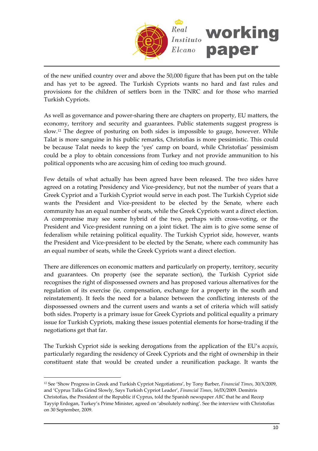

of the new unified country over and above the 50,000 figure that has been put on the table and has yet to be agreed. The Turkish Cypriots wants no hard and fast rules and provisions for the children of settlers born in the TNRC and for those who married Turkish Cypriots.

As well as governance and power-sharing there are chapters on property, EU matters, the economy, territory and security and guarantees. Public statements suggest progress is slow.[12](#page-9-0) The degree of posturing on both sides is impossible to gauge, however. While Talat is more sanguine in his public remarks, Christofias is more pessimistic. This could be because Talat needs to keep the 'yes' camp on board, while Christofias' pessimism could be a ploy to obtain concessions from Turkey and not provide ammunition to his political opponents who are accusing him of ceding too much ground.

Few details of what actually has been agreed have been released. The two sides have agreed on a rotating Presidency and Vice-presidency, but not the number of years that a Greek Cypriot and a Turkish Cypriot would serve in each post. The Turkish Cypriot side wants the President and Vice-president to be elected by the Senate, where each community has an equal number of seats, while the Greek Cypriots want a direct election. A compromise may see some hybrid of the two, perhaps with cross‐voting, or the President and Vice-president running on a joint ticket. The aim is to give some sense of federalism while retaining political equality. The Turkish Cypriot side, however, wants the President and Vice-president to be elected by the Senate, where each community has an equal number of seats, while the Greek Cypriots want a direct election.

There are differences on economic matters and particularly on property, territory, security and guarantees. On property (see the separate section), the Turkish Cypriot side recognises the right of dispossessed owners and has proposed various alternatives for the regulation of its exercise (ie, compensation, exchange for a property in the south and reinstatement). It feels the need for a balance between the conflicting interests of the dispossessed owners and the current users and wants a set of criteria which will satisfy both sides. Property is a primary issue for Greek Cypriots and political equality a primary issue for Turkish Cypriots, making these issues potential elements for horse-trading if the negotiations get that far.

The Turkish Cypriot side is seeking derogations from the application of the EU's *acquis*, particularly regarding the residency of Greek Cypriots and the right of ownership in their constituent state that would be created under a reunification package. It wants the

<span id="page-9-0"></span><sup>12</sup> See 'Show Progress in Greek and Turkish Cypriot Negotiations', by Tony Barber, *Financial Times*, 30/X/2009, and 'Cyprus Talks Grind Slowly, Says Turkish Cypriot Leader', *Financial Times*, 16/IX/2009. Demitris Christofias, the President of the Republic if Cyprus, told the Spanish newspaper *ABC* that he and Recep Tayyip Erdogan, Turkey's Prime Minister, agreed on 'absolutely nothing'. See the interview with Christofias on 30 September, 2009.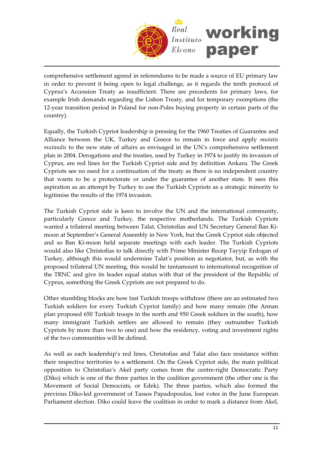

comprehensive settlement agreed in referendums to be made a source of EU primary law in order to prevent it being open to legal challenge, as it regards the tenth protocol of Cyprus's Accession Treaty as insufficient. There are precedents for primary laws, for example Irish demands regarding the Lisbon Treaty, and for temporary exemptions (the 12‐year transition period in Poland for non‐Poles buying property in certain parts of the country).

Equally, the Turkish Cypriot leadership is pressing for the 1960 Treaties of Guarantee and Alliance between the UK, Turkey and Greece to remain in force and apply *mutatis mutandis* to the new state of affairs as envisaged in the UN's comprehensive settlement plan in 2004. Derogations and the treaties, used by Turkey in 1974 to justify its invasion of Cyprus, are red lines for the Turkish Cypriot side and by definition Ankara. The Greek Cypriots see no need for a continuation of the treaty as there is no independent country that wants to be a protectorate or under the guarantee of another state. It sees this aspiration as an attempt by Turkey to use the Turkish Cypriots as a strategic minority to legitimise the results of the 1974 invasion.

The Turkish Cypriot side is keen to involve the UN and the international community, particularly Greece and Turkey, the respective motherlands. The Turkish Cypriots wanted a trilateral meeting between Talat, Christofias and UN Secretary General Ban Ki‐ moon at September's General Assembly in New York, but the Greek Cypriot side objected and so Ban Ki‐moon held separate meetings with each leader. The Turkish Cypriots would also like Christofias to talk directly with Prime Minister Recep Tayyip Erdogan of Turkey, although this would undermine Talat's position as negotiator, but, as with the proposed trilateral UN meeting, this would be tantamount to international recognition of the TRNC and give its leader equal status with that of the president of the Republic of Cyprus, something the Greek Cypriots are not prepared to do.

Other stumbling blocks are how fast Turkish troops withdraw (there are an estimated two Turkish soldiers for every Turkish Cypriot family) and how many remain (the Annan plan proposed 650 Turkish troops in the north and 950 Greek soldiers in the south), how many immigrant Turkish settlers are allowed to remain (they outnumber Turkish Cypriots by more than two to one) and how the residency, voting and investment rights of the two communities will be defined.

As well as each leadership's red lines, Christofias and Talat also face resistance within their respective territories to a settlement. On the Greek Cypriot side, the main political opposition to Christofias's Akel party comes from the centre‐right Democratic Party (Diko) which is one of the three parties in the coalition government (the other one is the Movement of Social Democrats, or Edek). The three parties, which also formed the previous Diko‐led government of Tassos Papadopoulos, lost votes in the June European Parliament election. Diko could leave the coalition in order to mark a distance from Akel,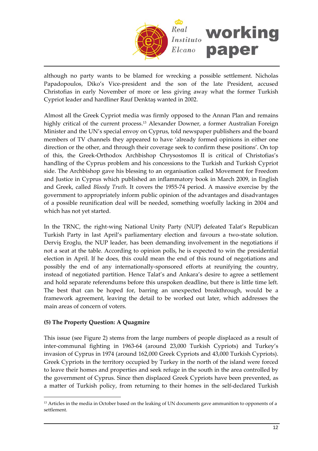

although no party wants to be blamed for wrecking a possible settlement. Nicholas Papadopoulos, Diko's Vice-president and the son of the late President, accused Christofias in early November of more or less giving away what the former Turkish Cypriot leader and hardliner Rauf Denktaş wanted in 2002.

Almost all the Greek Cypriot media was firmly opposed to the Annan Plan and remains highly critical of the current process.<sup>[13](#page-11-0)</sup> Alexander Downer, a former Australian Foreign Minister and the UN's special envoy on Cyprus, told newspaper publishers and the board members of TV channels they appeared to have 'already formed opinions in either one direction or the other, and through their coverage seek to confirm these positions'. On top of this, the Greek‐Orthodox Archbishop Chrysostomos II is critical of Christofias's handling of the Cyprus problem and his concessions to the Turkish and Turkish Cypriot side. The Archbishop gave his blessing to an organisation called Movement for Freedom and Justice in Cyprus which published an inflammatory book in March 2009, in English and Greek, called *Bloody Truth*. It covers the 1955‐74 period. A massive exercise by the government to appropriately inform public opinion of the advantages and disadvantages of a possible reunification deal will be needed, something woefully lacking in 2004 and which has not yet started.

In the TRNC, the right-wing National Unity Party (NUP) defeated Talat's Republican Turkish Party in last April's parliamentary election and favours a two-state solution. Derviş Eroglu, the NUP leader, has been demanding involvement in the negotiations if not a seat at the table. According to opinion polls, he is expected to win the presidential election in April. If he does, this could mean the end of this round of negotiations and possibly the end of any internationally‐sponsored efforts at reunifying the country, instead of negotiated partition. Hence Talat's and Ankara's desire to agree a settlement and hold separate referendums before this unspoken deadline, but there is little time left. The best that can be hoped for, barring an unexpected breakthrough, would be a framework agreement, leaving the detail to be worked out later, which addresses the main areas of concern of voters.

### **(5) The Property Question: A Quagmire**

 $\overline{a}$ 

This issue (see Figure 2) stems from the large numbers of people displaced as a result of inter-communal fighting in 1963-64 (around 23,000 Turkish Cypriots) and Turkey's invasion of Cyprus in 1974 (around 162,000 Greek Cypriots and 43,000 Turkish Cypriots). Greek Cypriots in the territory occupied by Turkey in the north of the island were forced to leave their homes and properties and seek refuge in the south in the area controlled by the government of Cyprus. Since then displaced Greek Cypriots have been prevented, as a matter of Turkish policy, from returning to their homes in the self‐declared Turkish

<span id="page-11-0"></span><sup>&</sup>lt;sup>13</sup> Articles in the media in October based on the leaking of UN documents gave ammunition to opponents of a settlement.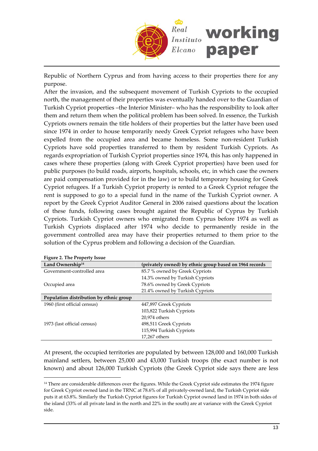

Republic of Northern Cyprus and from having access to their properties there for any purpose.

After the invasion, and the subsequent movement of Turkish Cypriots to the occupied north, the management of their properties was eventually handed over to the Guardian of Turkish Cypriot properties –the Interior Minister– who has the responsibility to look after them and return them when the political problem has been solved. In essence, the Turkish Cypriots owners remain the title holders of their properties but the latter have been used since 1974 in order to house temporarily needy Greek Cypriot refugees who have been expelled from the occupied area and became homeless. Some non-resident Turkish Cypriots have sold properties transferred to them by resident Turkish Cypriots. As regards expropriation of Turkish Cypriot properties since 1974, this has only happened in cases where these properties (along with Greek Cypriot properties) have been used for public purposes (to build roads, airports, hospitals, schools, etc, in which case the owners are paid compensation provided for in the law) or to build temporary housing for Greek Cypriot refugees. If a Turkish Cypriot property is rented to a Greek Cypriot refugee the rent is supposed to go to a special fund in the name of the Turkish Cypriot owner. A report by the Greek Cypriot Auditor General in 2006 raised questions about the location of these funds, following cases brought against the Republic of Cyprus by Turkish Cypriots. Turkish Cypriot owners who emigrated from Cyprus before 1974 as well as Turkish Cypriots displaced after 1974 who decide to permanently reside in the government controlled area may have their properties returned to them prior to the solution of the Cyprus problem and following a decision of the Guardian.

| Tiguit 2. The Froperty 1550e            |                                                         |  |
|-----------------------------------------|---------------------------------------------------------|--|
| Land Ownership <sup>14</sup>            | (privately owned) by ethnic group based on 1964 records |  |
| Government-controlled area              | 85.7 % owned by Greek Cypriots                          |  |
|                                         | 14.3% owned by Turkish Cypriots                         |  |
| Occupied area                           | 78.6% owned by Greek Cypriots                           |  |
|                                         | 21.4% owned by Turkish Cypriots                         |  |
| Population distribution by ethnic group |                                                         |  |
| 1960 (first official census)            | 447,897 Greek Cypriots                                  |  |
|                                         | 103,822 Turkish Cypriots                                |  |
|                                         | 20,974 others                                           |  |
| 1973 (last official census)             | 498,511 Greek Cypriots                                  |  |
|                                         | 115,994 Turkish Cypriots                                |  |
|                                         | 17,267 others                                           |  |

**Figure 2. The Property Issue**

 $\overline{a}$ 

At present, the occupied territories are populated by between 128,000 and 160,000 Turkish mainland settlers, between 25,000 and 43,000 Turkish troops (the exact number is not known) and about 126,000 Turkish Cypriots (the Greek Cypriot side says there are less

<span id="page-12-0"></span><sup>&</sup>lt;sup>14</sup> There are considerable differences over the figures. While the Greek Cypriot side estimates the 1974 figure for Greek Cypriot owned land in the TRNC at 78.6% of all privately-owned land, the Turkish Cypriot side puts it at 63.8%. Similarly the Turkish Cypriot figures for Turkish Cypriot owned land in 1974 in both sides of the island (33% of all private land in the north and 22% in the south) are at variance with the Greek Cypriot side.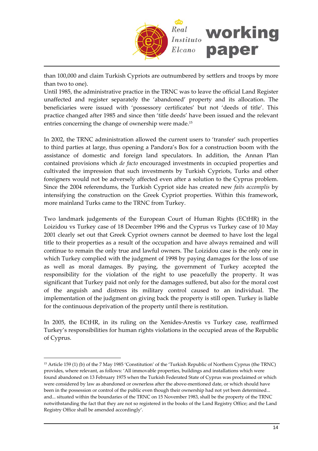

than 100,000 and claim Turkish Cypriots are outnumbered by settlers and troops by more than two to one).

Until 1985, the administrative practice in the TRNC was to leave the official Land Register unaffected and register separately the 'abandoned' property and its allocation. The beneficiaries were issued with 'possessory certificates' but not 'deeds of title'. This practice changed after 1985 and since then 'title deeds' have been issued and the relevant entries concerning the change of ownership were made.[15](#page-13-0)

In 2002, the TRNC administration allowed the current users to 'transfer' such properties to third parties at large, thus opening a Pandora's Box for a construction boom with the assistance of domestic and foreign land speculators. In addition, the Annan Plan contained provisions which *de facto* encouraged investments in occupied properties and cultivated the impression that such investments by Turkish Cypriots, Turks and other foreigners would not be adversely affected even after a solution to the Cyprus problem. Since the 2004 referendums, the Turkish Cypriot side has created new *faits accomplis* by intensifying the construction on the Greek Cypriot properties. Within this framework, more mainland Turks came to the TRNC from Turkey.

Two landmark judgements of the European Court of Human Rights (ECtHR) in the Loizidou vs Turkey case of 18 December 1996 and the Cyprus vs Turkey case of 10 May 2001 clearly set out that Greek Cypriot owners cannot be deemed to have lost the legal title to their properties as a result of the occupation and have always remained and will continue to remain the only true and lawful owners. The Loizidou case is the only one in which Turkey complied with the judgment of 1998 by paying damages for the loss of use as well as moral damages. By paying, the government of Turkey accepted the responsibility for the violation of the right to use peacefully the property. It was significant that Turkey paid not only for the damages suffered, but also for the moral cost of the anguish and distress its military control caused to an individual. The implementation of the judgment on giving back the property is still open. Turkey is liable for the continuous deprivation of the property until there is restitution.

In 2005, the ECtHR, in its ruling on the Xenides‐Arestis vs Turkey case, reaffirmed Turkey's responsibilities for human rights violations in the occupied areas of the Republic of Cyprus.

<span id="page-13-0"></span><sup>15</sup> Article 159 (1) (b) of the 7 May 1985 'Constitution' of the 'Turkish Republic of Northern Cyprus (the TRNC) provides, where relevant, as follows: 'All immovable properties, buildings and installations which were found abandoned on 13 February 1975 when the Turkish Federated State of Cyprus was proclaimed or which were considered by law as abandoned or ownerless after the above-mentioned date, or which should have been in the possession or control of the public even though their ownership had not yet been determined... and... situated within the boundaries of the TRNC on 15 November 1983, shall be the property of the TRNC notwithstanding the fact that they are not so registered in the books of the Land Registry Office; and the Land Registry Office shall be amended accordingly'.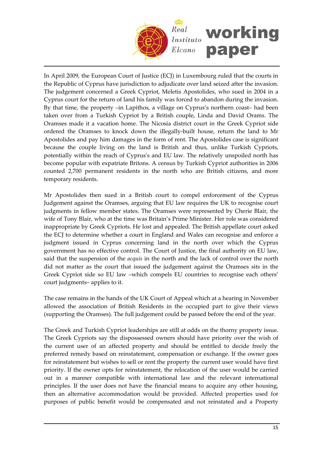

In April 2009, the European Court of Justice (ECJ) in Luxembourg ruled that the courts in the Republic of Cyprus have jurisdiction to adjudicate over land seized after the invasion. The judgement concerned a Greek Cypriot, Meletis Apostolides, who sued in 2004 in a Cyprus court for the return of land his family was forced to abandon during the invasion. By that time, the property –in Lapithos, a village on Cyprus's northern coast– had been taken over from a Turkish Cypriot by a British couple, Linda and David Orams. The Oramses made it a vacation home. The Nicosia district court in the Greek Cypriot side ordered the Oramses to knock down the illegally‐built house, return the land to Mr Apostolides and pay him damages in the form of rent. The Apostolides case is significant because the couple living on the land is British and thus, unlike Turkish Cypriots, potentially within the reach of Cyprusʹs and EU law. The relatively unspoiled north has become popular with expatriate Britons. A census by Turkish Cypriot authorities in 2006 counted 2,700 permanent residents in the north who are British citizens, and more temporary residents.

Mr Apostolides then sued in a British court to compel enforcement of the Cyprus Judgement against the Oramses, arguing that EU law requires the UK to recognise court judgments in fellow member states. The Oramses were represented by Cherie Blair, the wife of Tony Blair, who at the time was Britain's Prime Minister. Her role was considered inappropriate by Greek Cypriots. He lost and appealed. The British appellate court asked the ECJ to determine whether a court in England and Wales can recognise and enforce a judgment issued in Cyprus concerning land in the north over which the Cyprus government has no effective control. The Court of Justice, the final authority on EU law, said that the suspension of the *acquis* in the north and the lack of control over the north did not matter as the court that issued the judgement against the Oramses sits in the Greek Cypriot side so EU law –which compels EU countries to recognise each others' court judgments– applies to it.

The case remains in the hands of the UK Court of Appeal which at a hearing in November allowed the association of British Residents in the occupied part to give their views (supporting the Oramses). The full judgement could be passed before the end of the year.

The Greek and Turkish Cypriot leaderships are still at odds on the thorny property issue. The Greek Cypriots say the dispossessed owners should have priority over the wish of the current user of an affected property and should be entitled to decide freely the preferred remedy based on reinstatement, compensation or exchange. If the owner goes for reinstatement but wishes to sell or rent the property the current user would have first priority. If the owner opts for reinstatement, the relocation of the user would be carried out in a manner compatible with international law and the relevant international principles. If the user does not have the financial means to acquire any other housing, then an alternative accommodation would be provided. Affected properties used for purposes of public benefit would be compensated and not reinstated and a Property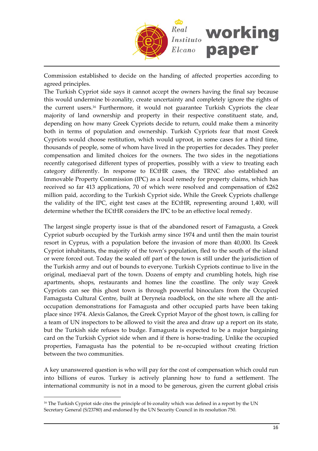

Commission established to decide on the handing of affected properties according to agreed principles.

The Turkish Cypriot side says it cannot accept the owners having the final say because this would undermine bi‐zonality, create uncertainty and completely ignore the rights of the current users.[16](#page-15-0) Furthermore, it would not guarantee Turkish Cypriots the clear majority of land ownership and property in their respective constituent state, and, depending on how many Greek Cypriots decide to return, could make them a minority both in terms of population and ownership. Turkish Cypriots fear that most Greek Cypriots would choose restitution, which would uproot, in some cases for a third time, thousands of people, some of whom have lived in the properties for decades. They prefer compensation and limited choices for the owners. The two sides in the negotiations recently categorised different types of properties, possibly with a view to treating each category differently. In response to ECtHR cases, the TRNC also established an Immovable Property Commission (IPC) as a local remedy for property claims, which has received so far 413 applications, 70 of which were resolved and compensation of  $£262$ million paid, according to the Turkish Cypriot side**.** While the Greek Cypriots challenge the validity of the IPC, eight test cases at the ECtHR, representing around 1,400, will determine whether the ECtHR considers the IPC to be an effective local remedy.

The largest single property issue is that of the abandoned resort of Famagusta, a Greek Cypriot suburb occupied by the Turkish army since 1974 and until then the main tourist resort in Cyprus, with a population before the invasion of more than 40,000. Its Greek Cypriot inhabitants, the majority of the town's population, fled to the south of the island or were forced out. Today the sealed off part of the town is still under the jurisdiction of the Turkish army and out of bounds to everyone. Turkish Cypriots continue to live in the original, mediaeval part of the town. Dozens of empty and crumbling hotels, high rise apartments, shops, restaurants and homes line the coastline. The only way Greek Cypriots can see this ghost town is through powerful binoculars from the Occupied Famagusta Cultural Centre, built at Deryneia roadblock, on the site where all the anti‐ occupation demonstrations for Famagusta and other occupied parts have been taking place since 1974. Alexis Galanos, the Greek Cypriot Mayor of the ghost town, is calling for a team of UN inspectors to be allowed to visit the area and draw up a report on its state, but the Turkish side refuses to budge. Famagusta is expected to be a major bargaining card on the Turkish Cypriot side when and if there is horse-trading. Unlike the occupied properties, Famagusta has the potential to be re‐occupied without creating friction between the two communities.

A key unanswered question is who will pay for the cost of compensation which could run into billions of euros. Turkey is actively planning how to fund a settlement. The international community is not in a mood to be generous, given the current global crisis

<span id="page-15-0"></span><sup>&</sup>lt;sup>16</sup> The Turkish Cypriot side cites the principle of bi-zonality which was defined in a report by the UN Secretary General (S/23780) and endorsed by the UN Security Council in its resolution 750.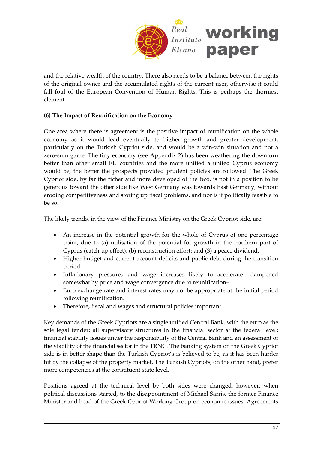

and the relative wealth of the country. There also needs to be a balance between the rights of the original owner and the accumulated rights of the current user, otherwise it could fall foul of the European Convention of Human Rights**.** This is perhaps the thorniest element.

# **(6) The Impact of Reunification on the Economy**

One area where there is agreement is the positive impact of reunification on the whole economy as it would lead eventually to higher growth and greater development, particularly on the Turkish Cypriot side, and would be a win‐win situation and not a zero-sum game. The tiny economy (see Appendix 2) has been weathering the downturn better than other small EU countries and the more unified a united Cyprus economy would be, the better the prospects provided prudent policies are followed. The Greek Cypriot side, by far the richer and more developed of the two, is not in a position to be generous toward the other side like West Germany was towards East Germany, without eroding competitiveness and storing up fiscal problems, and nor is it politically feasible to be so.

The likely trends, in the view of the Finance Ministry on the Greek Cypriot side, are:

- An increase in the potential growth for the whole of Cyprus of one percentage point, due to (a) utilisation of the potential for growth in the northern part of Cyprus (catch‐up effect); (b) reconstruction effort; and (3) a peace dividend.
- Higher budget and current account deficits and public debt during the transition period.
- Inflationary pressures and wage increases likely to accelerate –dampened somewhat by price and wage convergence due to reunification–.
- Euro exchange rate and interest rates may not be appropriate at the initial period following reunification.
- Therefore, fiscal and wages and structural policies important.

Key demands of the Greek Cypriots are a single unified Central Bank, with the euro as the sole legal tender; all supervisory structures in the financial sector at the federal level; financial stability issues under the responsibility of the Central Bank and an assessment of the viability of the financial sector in the TRNC. The banking system on the Greek Cypriot side is in better shape than the Turkish Cypriot's is believed to be, as it has been harder hit by the collapse of the property market. The Turkish Cypriots, on the other hand, prefer more competencies at the constituent state level.

Positions agreed at the technical level by both sides were changed, however, when political discussions started, to the disappointment of Michael Sarris, the former Finance Minister and head of the Greek Cypriot Working Group on economic issues. Agreements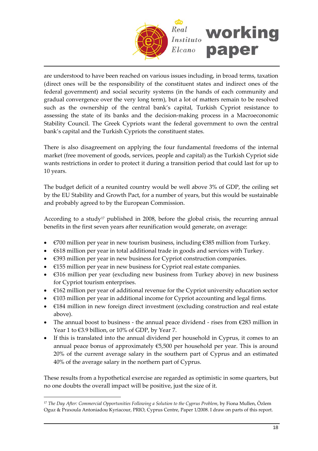

are understood to have been reached on various issues including, in broad terms, taxation (direct ones will be the responsibility of the constituent states and indirect ones of the federal government) and social security systems (in the hands of each community and gradual convergence over the very long term), but a lot of matters remain to be resolved such as the ownership of the central bank's capital, Turkish Cypriot resistance to assessing the state of its banks and the decision‐making process in a Macroeconomic Stability Council. The Greek Cypriots want the federal government to own the central bank's capital and the Turkish Cypriots the constituent states.

There is also disagreement on applying the four fundamental freedoms of the internal market (free movement of goods, services, people and capital) as the Turkish Cypriot side wants restrictions in order to protect it during a transition period that could last for up to 10 years.

The budget deficit of a reunited country would be well above 3% of GDP, the ceiling set by the EU Stability and Growth Pact, for a number of years, but this would be sustainable and probably agreed to by the European Commission.

According to a study<sup>[17](#page-17-0)</sup> published in 2008, before the global crisis, the recurring annual benefits in the first seven years after reunification would generate, on average:

- €700 million per year in new tourism business, including €385 million from Turkey.
- €618 million per year in total additional trade in goods and services with Turkey.
- $\bullet$   $\in$  4393 million per year in new business for Cypriot construction companies.
- $\bullet$   $\epsilon$ 155 million per year in new business for Cypriot real estate companies.
- €316 million per year (excluding new business from Turkey above) in new business for Cypriot tourism enterprises.
- $\bullet$   $\epsilon$ 162 million per year of additional revenue for the Cypriot university education sector
- $\bullet$   $\in$  103 million per year in additional income for Cypriot accounting and legal firms.
- €184 million in new foreign direct investment (excluding construction and real estate above).
- The annual boost to business the annual peace dividend rises from  $\epsilon$ 283 million in Year 1 to €3.9 billion, or 10% of GDP, by Year 7.
- If this is translated into the annual dividend per household in Cyprus, it comes to an annual peace bonus of approximately  $€5,500$  per household per year. This is around 20% of the current average salary in the southern part of Cyprus and an estimated 40% of the average salary in the northern part of Cyprus.

These results from a hypothetical exercise are regarded as optimistic in some quarters, but no one doubts the overall impact will be positive, just the size of it.

<span id="page-17-0"></span><sup>17</sup> *The Day After: Commercial Opportunities Following a Solution to the Cyprus Problem*, by Fiona Mullen, Özlem Oguz & Praxoula Antoniadou Kyriacour, PRIO, Cyprus Centre, Paper 1/2008. I draw on parts of this report.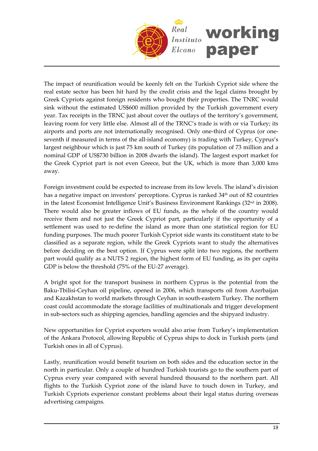

The impact of reunification would be keenly felt on the Turkish Cypriot side where the real estate sector has been hit hard by the credit crisis and the legal claims brought by Greek Cypriots against foreign residents who bought their properties. The TNRC would sink without the estimated US\$600 million provided by the Turkish government every year. Tax receipts in the TRNC just about cover the outlays of the territory's government, leaving room for very little else. Almost all of the TRNC's trade is with or via Turkey; its airports and ports are not internationally recognised. Only one‐third of Cyprus (or one‐ seventh if measured in terms of the all-island economy) is trading with Turkey, Cyprus's largest neighbour which is just 75 km south of Turkey (its population of 73 million and a nominal GDP of US\$730 billion in 2008 dwarfs the island). The largest export market for the Greek Cypriot part is not even Greece, but the UK, which is more than 3,000 kms away.

Foreign investment could be expected to increase from its low levels. The island's division has a negative impact on investors' perceptions. Cyprus is ranked 34<sup>th</sup> out of 82 countries in the latest Economist Intelligence Unit's Business Environment Rankings (32nd in 2008). There would also be greater inflows of EU funds, as the whole of the country would receive them and not just the Greek Cypriot part, particularly if the opportunity of a settlement was used to re-define the island as more than one statistical region for EU funding purposes. The much poorer Turkish Cypriot side wants its constituent state to be classified as a separate region, while the Greek Cypriots want to study the alternatives before deciding on the best option. If Cyprus were split into two regions, the northern part would qualify as a NUTS 2 region, the highest form of EU funding, as its per capita GDP is below the threshold (75% of the EU-27 average).

A bright spot for the transport business in northern Cyprus is the potential from the Baku‐Tbilisi‐Ceyhan oil pipeline, opened in 2006, which transports oil from Azerbaijan and Kazakhstan to world markets through Ceyhan in south‐eastern Turkey. The northern coast could accommodate the storage facilities of multinationals and trigger development in sub‐sectors such as shipping agencies, handling agencies and the shipyard industry.

New opportunities for Cypriot exporters would also arise from Turkey's implementation of the Ankara Protocol, allowing Republic of Cyprus ships to dock in Turkish ports (and Turkish ones in all of Cyprus).

Lastly, reunification would benefit tourism on both sides and the education sector in the north in particular. Only a couple of hundred Turkish tourists go to the southern part of Cyprus every year compared with several hundred thousand to the northern part. All flights to the Turkish Cypriot zone of the island have to touch down in Turkey, and Turkish Cypriots experience constant problems about their legal status during overseas advertising campaigns.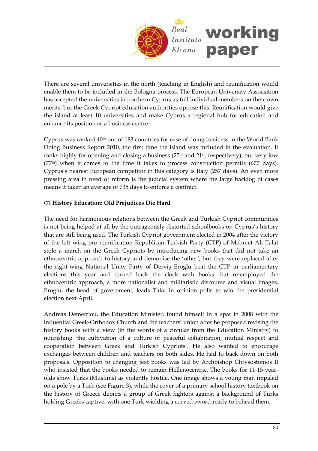

There are several universities in the north (teaching in English) and reunification would enable them to be included in the Bologna process. The European University Association has accepted the universities in northern Cyprus as full individual members on their own merits, but the Greek Cypriot education authorities oppose this. Reunification would give the island at least 10 universities and make Cyprus a regional hub for education and enhance its position as a business centre.

Cyprus was ranked  $40<sup>th</sup>$  out of 183 countries for ease of doing business in the World Bank Doing Business Report 2010, the first time the island was included in the evaluation. It ranks highly for opening and closing a business ( $25<sup>th</sup>$  and  $21<sup>st</sup>$ , respectively), but very low  $(77<sup>th</sup>)$  when it comes to the time it takes to process construction permits (677 days). Cyprus's nearest European competitor in this category is Italy (257 days). An even more pressing area in need of reform is the judicial system where the large backlog of cases means it taken an average of 735 days to enforce a contract.

# **(7) History Education: Old Prejudices Die Hard**

The need for harmonious relations between the Greek and Turkish Cypriot communities is not being helped at all by the outrageously distorted schoolbooks on Cyprus's history that are still being used. The Turkish Cypriot government elected in 2004 after the victory of the left wing pro‐reunification Republican Turkish Party (CTP) of Mehmet Ali Talat stole a march on the Greek Cypriots by introducing new books that did not take an ethnocentric approach to history and demonise the 'other', but they were replaced after the right‐wing National Unity Party of Derviş Eroglu beat the CTP in parliamentary elections this year and turned back the clock with books that re‐employed the ethnocentric approach, a more nationalist and militaristic discourse and visual images. Eroglu, the head of government, leads Talat in opinion polls to win the presidential election next April.

Andreas Demetriou, the Education Minister, found himself in a spat in 2008 with the influential Greek‐Orthodox Church and the teachers' union after he proposed revising the history books with a view (in the words of a circular from the Education Ministry) to nourishing 'the cultivation of a culture of peaceful cohabitation, mutual respect and cooperation between Greek and Turkish Cypriots'. He also wanted to encourage exchanges between children and teachers on both sides. He had to back down on both proposals. Opposition to changing text books was led by Archbishop Chrysostomos II who insisted that the books needed to remain Hellenocentric. The books for 11‐15‐year‐ olds show Turks (Muslims) as violently hostile. One image shows a young man impaled on a pole by a Turk (see Figure 3), while the cover of a primary school history textbook on the history of Greece depicts a group of Greek fighters against a background of Turks holding Greeks captive, with one Turk wielding a curved sword ready to behead them.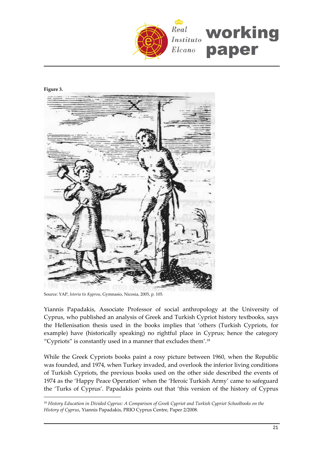

#### **Figure 3.**

 $\overline{a}$ 



Source: YAP, *Istoria tis Kyprou*, Gymnasio, Nicosia, 2005, p. 105.

Yiannis Papadakis, Associate Professor of social anthropology at the University of Cyprus, who published an analysis of Greek and Turkish Cypriot history textbooks, says the Hellenisation thesis used in the books implies that 'others (Turkish Cypriots, for example) have (historically speaking) no rightful place in Cyprus; hence the category "Cypriots" is constantly used in a manner that excludes them'.[18](#page-20-0)

While the Greek Cypriots books paint a rosy picture between 1960, when the Republic was founded, and 1974, when Turkey invaded, and overlook the inferior living conditions of Turkish Cypriots, the previous books used on the other side described the events of 1974 as the 'Happy Peace Operation' when the 'Heroic Turkish Army' came to safeguard the 'Turks of Cyprus'. Papadakis points out that 'this version of the history of Cyprus

<span id="page-20-0"></span><sup>18</sup> *History Education in Divided Cyprus: A Comparison of Greek Cypriot and Turkish Cypriot Schoolbooks on the History of Cyprus*, Yiannis Papadakis, PRIO Cyprus Centre, Paper 2/2008.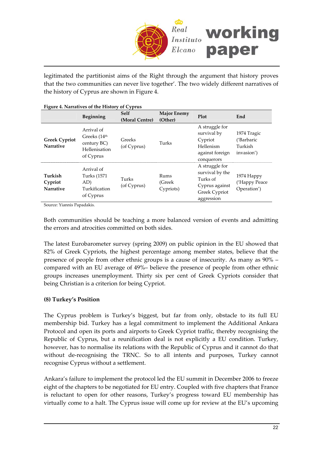

legitimated the partitionist aims of the Right through the argument that history proves that the two communities can never live together'. The two widely different narratives of the history of Cyprus are shown in Figure 4.

| Tigale +. Nation ves of the History of Cyprus |                                                                                     |                        |                               |                                                                                                |                                                    |
|-----------------------------------------------|-------------------------------------------------------------------------------------|------------------------|-------------------------------|------------------------------------------------------------------------------------------------|----------------------------------------------------|
|                                               | Beginning                                                                           | Self<br>(Moral Centre) | <b>Major Enemy</b><br>(Other) | Plot                                                                                           | End                                                |
| <b>Greek Cypriot</b><br><b>Narrative</b>      | Arrival of<br>Greeks (14 <sup>th</sup><br>century BC)<br>Hellenisation<br>of Cyprus | Greeks<br>(of Cyprus)  | Turks                         | A struggle for<br>survival by<br>Cypriot<br>Hellenism<br>against foreign<br>conquerors         | 1974 Tragic<br>('Barbaric<br>Turkish<br>invasion') |
| Turkish<br>Cypriot<br>Narrative               | Arrival of<br>Turks (1571<br>AD)<br>Turkification<br>of Cyprus                      | Turks<br>(of Cyprus)   | Rums<br>(Greek)<br>Cypriots)  | A struggle for<br>survival by the<br>Turks of<br>Cyprus against<br>Greek Cypriot<br>aggression | 1974 Happy<br>('Happy Peace<br>Operation')         |

**Figure 4. Narratives of the History of Cyprus**

Source: Yiannis Papadakis.

Both communities should be teaching a more balanced version of events and admitting the errors and atrocities committed on both sides.

The latest Eurobarometer survey (spring 2009) on public opinion in the EU showed that 82% of Greek Cypriots, the highest percentage among member states, believe that the presence of people from other ethnic groups is a cause of insecurity. As many as 90% – compared with an EU average of 49%– believe the presence of people from other ethnic groups increases unemployment. Thirty six per cent of Greek Cypriots consider that being Christian is a criterion for being Cypriot.

### **(8) Turkey's Position**

The Cyprus problem is Turkey's biggest, but far from only, obstacle to its full EU membership bid. Turkey has a legal commitment to implement the Additional Ankara Protocol and open its ports and airports to Greek Cypriot traffic, thereby recognising the Republic of Cyprus, but a reunification deal is not explicitly a EU condition. Turkey, however, has to normalise its relations with the Republic of Cyprus and it cannot do that without de-recognising the TRNC. So to all intents and purposes, Turkey cannot recognise Cyprus without a settlement.

Ankara's failure to implement the protocol led the EU summit in December 2006 to freeze eight of the chapters to be negotiated for EU entry. Coupled with five chapters that France is reluctant to open for other reasons, Turkey's progress toward EU membership has virtually come to a halt. The Cyprus issue will come up for review at the EU's upcoming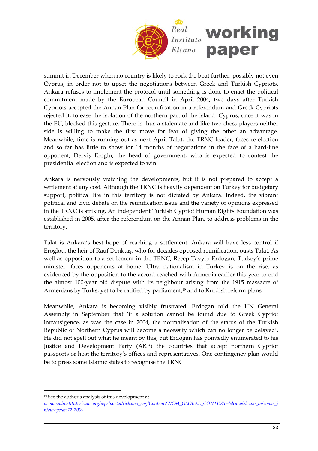

summit in December when no country is likely to rock the boat further, possibly not even Cyprus, in order not to upset the negotiations between Greek and Turkish Cypriots. Ankara refuses to implement the protocol until something is done to enact the political commitment made by the European Council in April 2004, two days after Turkish Cypriots accepted the Annan Plan for reunification in a referendum and Greek Cypriots rejected it, to ease the isolation of the northern part of the island. Cyprus, once it was in the EU, blocked this gesture. There is thus a stalemate and like two chess players neither side is willing to make the first move for fear of giving the other an advantage. Meanwhile, time is running out as next April Talat, the TRNC leader, faces re-election and so far has little to show for 14 months of negotiations in the face of a hard‐line opponent, Derviş Eroglu, the head of government, who is expected to contest the presidential election and is expected to win.

Ankara is nervously watching the developments, but it is not prepared to accept a settlement at any cost. Although the TRNC is heavily dependent on Turkey for budgetary support, political life in this territory is not dictated by Ankara. Indeed, the vibrant political and civic debate on the reunification issue and the variety of opinions expressed in the TRNC is striking. An independent Turkish Cypriot Human Rights Foundation was established in 2005, after the referendum on the Annan Plan, to address problems in the territory.

Talat is Ankara's best hope of reaching a settlement. Ankara will have less control if Eroglou, the heir of Rauf Denktaş, who for decades opposed reunification, ousts Talat. As well as opposition to a settlement in the TRNC, Recep Tayyip Erdogan, Turkey's prime minister, faces opponents at home. Ultra nationalism in Turkey is on the rise, as evidenced by the opposition to the accord reached with Armenia earlier this year to end the almost 100‐year old dispute with its neighbour arising from the 1915 massacre of Armenians by Turks, yet to be ratified by parliament,<sup>[19](#page-22-0)</sup> and to Kurdish reform plans.

Meanwhile, Ankara is becoming visibly frustrated. Erdogan told the UN General Assembly in September that 'if a solution cannot be found due to Greek Cypriot intransigence, as was the case in 2004, the normalisation of the status of the Turkish Republic of Northern Cyprus will become a necessity which can no longer be delayed'. He did not spell out what he meant by this, but Erdogan has pointedly enumerated to his Justice and Development Party (AKP) the countries that accept northern Cypriot passports or host the territory's offices and representatives. One contingency plan would be to press some Islamic states to recognise the TRNC.

<span id="page-22-0"></span><sup>19</sup> See the author's analysis of this development at

*[www.realinstitutoelcano.org/wps/portal/rielcano\\_eng/Content?WCM\\_GLOBAL\\_CONTEXT=/elcano/elcano\\_in/zonas\\_i](www.realinstitutoelcano.org/wps/portal/rielcano_eng/Content?WCM_GLOBAL_CONTEXT=/elcano/elcano_in/zonas_in/europe/ari72-2009) [n/europe/ari72](www.realinstitutoelcano.org/wps/portal/rielcano_eng/Content?WCM_GLOBAL_CONTEXT=/elcano/elcano_in/zonas_in/europe/ari72-2009)‐2009.*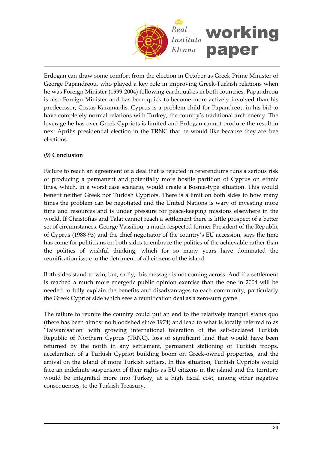

Erdogan can draw some comfort from the election in October as Greek Prime Minister of George Papandreou, who played a key role in improving Greek‐Turkish relations when he was Foreign Minister (1999-2004) following earthquakes in both countries. Papandreou is also Foreign Minister and has been quick to become more actively involved than his predecessor, Costas Karamanlis. Cyprus is a problem child for Papandreou in his bid to have completely normal relations with Turkey, the country's traditional arch enemy. The leverage he has over Greek Cypriots is limited and Erdogan cannot produce the result in next April's presidential election in the TRNC that he would like because they are free elections.

# **(9) Conclusion**

Failure to reach an agreement or a deal that is rejected in referendums runs a serious risk of producing a permanent and potentially more hostile partition of Cyprus on ethnic lines, which, in a worst case scenario, would create a Bosnia‐type situation. This would benefit neither Greek nor Turkish Cypriots. There is a limit on both sides to how many times the problem can be negotiated and the United Nations is wary of investing more time and resources and is under pressure for peace‐keeping missions elsewhere in the world. If Christofias and Talat cannot reach a settlement there is little prospect of a better set of circumstances. George Vassiliou, a much respected former President of the Republic of Cyprus (1988‐93) and the chief negotiator of the country's EU accession, says the time has come for politicians on both sides to embrace the politics of the achievable rather than the politics of wishful thinking, which for so many years have dominated the reunification issue to the detriment of all citizens of the island.

Both sides stand to win, but, sadly, this message is not coming across. And if a settlement is reached a much more energetic public opinion exercise than the one in 2004 will be needed to fully explain the benefits and disadvantages to each community, particularly the Greek Cypriot side which sees a reunification deal as a zero‐sum game.

The failure to reunite the country could put an end to the relatively tranquil status quo (there has been almost no bloodshed since 1974) and lead to what is locally referred to as 'Taiwanisation' with growing international toleration of the self‐declared Turkish Republic of Northern Cyprus (TRNC), loss of significant land that would have been returned by the north in any settlement, permanent stationing of Turkish troops, acceleration of a Turkish Cypriot building boom on Greek‐owned properties, and the arrival on the island of more Turkish settlers. In this situation, Turkish Cypriots would face an indefinite suspension of their rights as EU citizens in the island and the territory would be integrated more into Turkey, at a high fiscal cost, among other negative consequences, to the Turkish Treasury.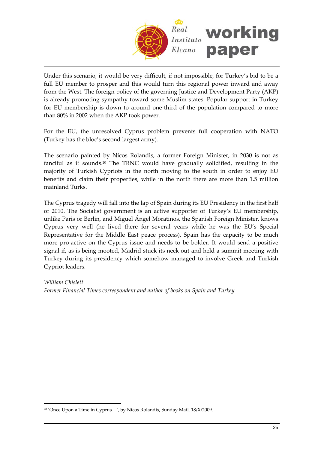

Under this scenario, it would be very difficult, if not impossible, for Turkey's bid to be a full EU member to prosper and this would turn this regional power inward and away from the West. The foreign policy of the governing Justice and Development Party (AKP) is already promoting sympathy toward some Muslim states. Popular support in Turkey for EU membership is down to around one‐third of the population compared to more than 80% in 2002 when the AKP took power.

For the EU, the unresolved Cyprus problem prevents full cooperation with NATO (Turkey has the bloc's second largest army).

The scenario painted by Nicos Rolandis, a former Foreign Minister, in 2030 is not as fanciful as it sounds.[20](#page-24-0) The TRNC would have gradually solidified, resulting in the majority of Turkish Cypriots in the north moving to the south in order to enjoy EU benefits and claim their properties, while in the north there are more than 1.5 million mainland Turks.

The Cyprus tragedy will fall into the lap of Spain during its EU Presidency in the first half of 2010. The Socialist government is an active supporter of Turkey's EU membership, unlike Paris or Berlin, and Miguel Ángel Moratinos, the Spanish Foreign Minister, knows Cyprus very well (he lived there for several years while he was the EU's Special Representative for the Middle East peace process). Spain has the capacity to be much more pro‐active on the Cyprus issue and needs to be bolder. It would send a positive signal if, as is being mooted, Madrid stuck its neck out and held a summit meeting with Turkey during its presidency which somehow managed to involve Greek and Turkish Cypriot leaders.

*William Chislett Former Financial Times correspondent and author of books on Spain and Turkey*

<span id="page-24-0"></span><sup>20</sup> 'Once Upon a Time in Cyprus…', by Nicos Rolandis, Sunday Mail, 18/X/2009.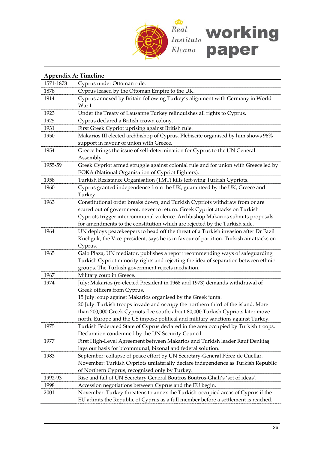

| Appendix A: Timeline |                                                                                             |  |  |
|----------------------|---------------------------------------------------------------------------------------------|--|--|
| 1571-1878            | Cyprus under Ottoman rule.                                                                  |  |  |
| 1878                 | Cyprus leased by the Ottoman Empire to the UK.                                              |  |  |
| 1914                 | Cyprus annexed by Britain following Turkey's alignment with Germany in World                |  |  |
|                      | War I.                                                                                      |  |  |
| 1923                 | Under the Treaty of Lausanne Turkey relinquishes all rights to Cyprus.                      |  |  |
| 1925                 | Cyprus declared a British crown colony.                                                     |  |  |
| 1931                 | First Greek Cypriot uprising against British rule.                                          |  |  |
| 1950                 | Makarios III elected archbishop of Cyprus. Plebiscite organised by him shows 96%            |  |  |
|                      | support in favour of union with Greece.                                                     |  |  |
| 1954                 | Greece brings the issue of self-determination for Cyprus to the UN General                  |  |  |
|                      | Assembly.                                                                                   |  |  |
| 1955-59              | Greek Cypriot armed struggle against colonial rule and for union with Greece led by         |  |  |
|                      | EOKA (National Organisation of Cypriot Fighters).                                           |  |  |
| 1958                 | Turkish Resistance Organisation (TMT) kills left-wing Turkish Cypriots.                     |  |  |
| 1960                 | Cyprus granted independence from the UK, guaranteed by the UK, Greece and                   |  |  |
|                      | Turkey.                                                                                     |  |  |
| 1963                 | Constitutional order breaks down, and Turkish Cypriots withdraw from or are                 |  |  |
|                      | scared out of government, never to return. Greek Cypriot attacks on Turkish                 |  |  |
|                      | Cypriots trigger intercommunal violence. Archbishop Makarios submits proposals              |  |  |
|                      | for amendments to the constitution which are rejected by the Turkish side.                  |  |  |
| 1964                 | UN deploys peacekeepers to head off the threat of a Turkish invasion after Dr Fazil         |  |  |
|                      | Kuchguk, the Vice-president, says he is in favour of partition. Turkish air attacks on      |  |  |
|                      | Cyprus.                                                                                     |  |  |
| 1965                 | Galo Plaza, UN mediator, publishes a report recommending ways of safeguarding               |  |  |
|                      | Turkish Cypriot minority rights and rejecting the idea of separation between ethnic         |  |  |
|                      | groups. The Turkish government rejects mediation.                                           |  |  |
| 1967                 | Military coup in Greece.                                                                    |  |  |
| 1974                 | July: Makarios (re-elected President in 1968 and 1973) demands withdrawal of                |  |  |
|                      | Greek officers from Cyprus.<br>15 July: coup against Makarios organised by the Greek junta. |  |  |
|                      | 20 July: Turkish troops invade and occupy the northern third of the island. More            |  |  |
|                      | than 200,000 Greek Cypriots flee south; about 80,000 Turkish Cypriots later move            |  |  |
|                      | north. Europe and the US impose political and military sanctions against Turkey.            |  |  |
| 1975                 | Turkish Federated State of Cyprus declared in the area occupied by Turkish troops.          |  |  |
|                      | Declaration condemned by the UN Security Council.                                           |  |  |
| 1977                 | First High-Level Agreement between Makarios and Turkish leader Rauf Denktaş                 |  |  |
|                      | lays out basis for bicommunal, bizonal and federal solution.                                |  |  |
| 1983                 | September: collapse of peace effort by UN Secretary-General Pérez de Cuellar.               |  |  |
|                      | November: Turkish Cypriots unilaterally declare independence as Turkish Republic            |  |  |
|                      | of Northern Cyprus, recognised only by Turkey.                                              |  |  |
| 1992-93              | Rise and fall of UN Secretary General Boutros Boutros-Ghali's 'set of ideas'.               |  |  |
| 1998                 | Accession negotiations between Cyprus and the EU begin.                                     |  |  |
| 2001                 | November: Turkey threatens to annex the Turkish-occupied areas of Cyprus if the             |  |  |
|                      | EU admits the Republic of Cyprus as a full member before a settlement is reached.           |  |  |
|                      |                                                                                             |  |  |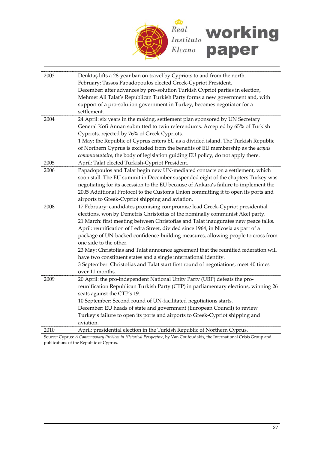

| 2003 | Denktaş lifts a 28-year ban on travel by Cypriots to and from the north.                                                 |
|------|--------------------------------------------------------------------------------------------------------------------------|
|      | February: Tassos Papadopoulos elected Greek-Cypriot President.                                                           |
|      | December: after advances by pro-solution Turkish Cypriot parties in election,                                            |
|      | Mehmet Ali Talat's Republican Turkish Party forms a new government and, with                                             |
|      | support of a pro-solution government in Turkey, becomes negotiator for a                                                 |
|      | settlement.                                                                                                              |
| 2004 | 24 April: six years in the making, settlement plan sponsored by UN Secretary                                             |
|      | General Kofi Annan submitted to twin referendums. Accepted by 65% of Turkish                                             |
|      | Cypriots, rejected by 76% of Greek Cypriots.                                                                             |
|      | 1 May: the Republic of Cyprus enters EU as a divided island. The Turkish Republic                                        |
|      | of Northern Cyprus is excluded from the benefits of EU membership as the acquis                                          |
|      | communautaire, the body of legislation guiding EU policy, do not apply there.                                            |
| 2005 | April: Talat elected Turkish-Cypriot President.                                                                          |
| 2006 | Papadopoulos and Talat begin new UN-mediated contacts on a settlement, which                                             |
|      | soon stall. The EU summit in December suspended eight of the chapters Turkey was                                         |
|      | negotiating for its accession to the EU because of Ankara's failure to implement the                                     |
|      | 2005 Additional Protocol to the Customs Union committing it to open its ports and                                        |
|      | airports to Greek-Cypriot shipping and aviation.                                                                         |
| 2008 | 17 February: candidates promising compromise lead Greek-Cypriot presidential                                             |
|      | elections, won by Demetris Christofias of the nominally communist Akel party.                                            |
|      | 21 March: first meeting between Christofias and Talat inaugurates new peace talks.                                       |
|      | April: reunification of Ledra Street, divided since 1964, in Nicosia as part of a                                        |
|      | package of UN-backed confidence-building measures, allowing people to cross from                                         |
|      | one side to the other.                                                                                                   |
|      | 23 May: Christofias and Talat announce agreement that the reunified federation will                                      |
|      | have two constituent states and a single international identity.                                                         |
|      | 3 September: Christofias and Talat start first round of negotiations, meet 40 times                                      |
|      | over 11 months.                                                                                                          |
| 2009 | 20 April: the pro-independent National Unity Party (UBP) defeats the pro-                                                |
|      | reunification Republican Turkish Party (CTP) in parliamentary elections, winning 26                                      |
|      | seats against the CTP's 19.                                                                                              |
|      | 10 September: Second round of UN-facilitated negotiations starts.                                                        |
|      | December: EU heads of state and government (European Council) to review                                                  |
|      | Turkey's failure to open its ports and airports to Greek-Cypriot shipping and                                            |
|      | aviation.                                                                                                                |
| 2010 | April: presidential election in the Turkish Republic of Northern Cyprus.                                                 |
|      | Source: Cyprus: A Contemporary Problem in Historical Perspective, by Van Coufoudakis, the International Crisis Group and |

publications of the Republic of Cyprus.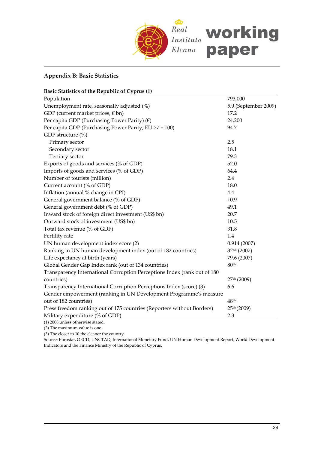

# **Appendix B: Basic Statistics**

| Population<br>793,000<br>Unemployment rate, seasonally adjusted (%)<br>5.9 (September 2009)<br>GDP (current market prices, $\notin$ bn)<br>17.2<br>Per capita GDP (Purchasing Power Parity) $(\epsilon)$<br>24,200 |
|--------------------------------------------------------------------------------------------------------------------------------------------------------------------------------------------------------------------|
|                                                                                                                                                                                                                    |
|                                                                                                                                                                                                                    |
|                                                                                                                                                                                                                    |
|                                                                                                                                                                                                                    |
| Per capita GDP (Purchasing Power Parity, EU-27 = 100)<br>94.7                                                                                                                                                      |
| GDP structure (%)                                                                                                                                                                                                  |
| Primary sector<br>2.5                                                                                                                                                                                              |
| Secondary sector<br>18.1                                                                                                                                                                                           |
| Tertiary sector<br>79.3                                                                                                                                                                                            |
| Exports of goods and services (% of GDP)<br>52.0                                                                                                                                                                   |
| Imports of goods and services (% of GDP)<br>64.4                                                                                                                                                                   |
| Number of tourists (million)<br>2.4                                                                                                                                                                                |
| Current account (% of GDP)<br>18.0                                                                                                                                                                                 |
| 4.4<br>Inflation (annual % change in CPI)                                                                                                                                                                          |
| General government balance (% of GDP)<br>$+0.9$                                                                                                                                                                    |
| 49.1<br>General government debt (% of GDP)                                                                                                                                                                         |
| Inward stock of foreign direct investment (US\$ bn)<br>20.7                                                                                                                                                        |
| Outward stock of investment (US\$ bn)<br>10.5                                                                                                                                                                      |
| Total tax revenue (% of GDP)<br>31.8                                                                                                                                                                               |
| Fertility rate<br>1.4                                                                                                                                                                                              |
| UN human development index score (2)<br>0.914(2007)                                                                                                                                                                |
| Ranking in UN human development index (out of 182 countries)<br>32nd (2007)                                                                                                                                        |
| Life expectancy at birth (years)<br>79.6 (2007)                                                                                                                                                                    |
| Global Gender Gap Index rank (out of 134 countries)<br>80th                                                                                                                                                        |
| Transparency International Corruption Perceptions Index (rank out of 180                                                                                                                                           |
| countries)<br>27th (2009)                                                                                                                                                                                          |
| Transparency International Corruption Perceptions Index (score) (3)<br>6.6                                                                                                                                         |
| Gender empowerment (ranking in UN Development Programme's measure                                                                                                                                                  |
| out of 182 countries)<br>48 <sup>th</sup>                                                                                                                                                                          |
| Press freedom ranking out of 175 countries (Reporters without Borders)<br>25th (2009)                                                                                                                              |
| 2.3<br>Military expenditure (% of GDP)                                                                                                                                                                             |

(1) 2008 unless otherwise stated. (2) The maximum value is one.

(3) The closer to 10 the cleaner the country.

Source: Eurostat, OECD, UNCTAD, International Monetary Fund, UN Human Development Report, World Development Indicators and the Finance Ministry of the Republic of Cyprus.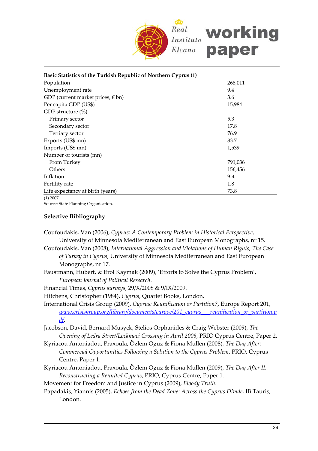

| Basic Statistics of the Turkish Republic of Northern Cyprus (1) |         |  |
|-----------------------------------------------------------------|---------|--|
| Population                                                      | 268,011 |  |
| Unemployment rate                                               | 9.4     |  |
| GDP (current market prices, $\epsilon$ bn)                      | 3.6     |  |
| Per capita GDP (US\$)                                           | 15,984  |  |
| GDP structure (%)                                               |         |  |
| Primary sector                                                  | 5.3     |  |
| Secondary sector                                                | 17.8    |  |
| Tertiary sector                                                 | 76.9    |  |
| Exports (US\$ mn)                                               | 83.7    |  |
| Imports (US\$ mn)                                               | 1,539   |  |
| Number of tourists (mn)                                         |         |  |
| From Turkey                                                     | 791,036 |  |
| Others                                                          | 156,456 |  |
| Inflation                                                       | $9 - 4$ |  |
| Fertility rate                                                  | 1.8     |  |
| Life expectancy at birth (years)                                | 73.8    |  |
| $(1)$ 2007.                                                     |         |  |

Source: State Planning Organisation.

#### **Selective Bibliography**

- Coufoudakis, Van (2006), *Cyprus: A Contemporary Problem in Historical Perspective*, University of Minnesota Mediterranean and East European Monographs, nr 15.
- Coufoudakis, Van (2008), *International Aggression and Violations of Human Rights, The Case of Turkey in Cyprus*, University of Minnesota Mediterranean and East European Monographs, nr 17.
- Faustmann, Hubert, & Erol Kaymak (2009), 'Efforts to Solve the Cyprus Problem', *European Journal of Political Research*.
- Financial Times, *Cyprus surveys*, 29/X/2008 & 9/IX/2009.
- Hitchens, Christopher (1984), *Cyprus*, Quartet Books, London.
- International Crisis Group (2009), *Cyprus: Reunification or Partition?*, Europe Report 201, *[www.crisisgroup.org/library/documents/europe/201\\_cyprus\\_\\_\\_reunification\\_or\\_partition.p](www.crisisgroup.org/library/documents/europe/201_cyprus___reunification_or_partition.pdf) [df](www.crisisgroup.org/library/documents/europe/201_cyprus___reunification_or_partition.pdf)*.
- Jacobson, David, Bernard Musyck, Stelios Orphanides & Craig Webster (2009), *The Opening of Ledra Street/Lockmaci Crossing in April 2008*, PRIO Cyprus Centre, Paper 2.
- Kyriacou Antoniadou, Praxoula, Özlem Oguz & Fiona Mullen (2008), *The Day After: Commercial Opportunities Following a Solution to the Cyprus Problem*, PRIO, Cyprus Centre, Paper 1.
- Kyriacou Antoniadou, Praxoula, Özlem Oguz & Fiona Mullen (2009), *The Day After II: Reconstructing a Reunited Cyprus*, PRIO, Cyprus Centre, Paper 1.

Movement for Freedom and Justice in Cyprus (2009), *Bloody Truth*.

Papadakis, Yiannis (2005), *Echoes from the Dead Zone: Across the Cyprus Divide*, IB Tauris, London.